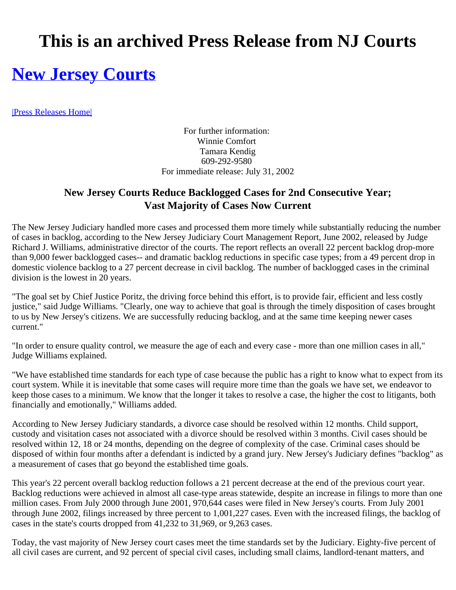## **This is an archived Press Release from NJ Courts**

## **New Jersey Courts**

|Press Releases Home|

For further information: Winnie Comfort Tamara Kendig 609-292-9580 For immediate release: July 31, 2002

## **New Jersey Courts Reduce Backlogged Cases for 2nd Consecutive Year; Vast Majority of Cases Now Current**

The New Jersey Judiciary handled more cases and processed them more timely while substantially reducing the number of cases in backlog, according to the New Jersey Judiciary Court Management Report, June 2002, released by Judge Richard J. Williams, administrative director of the courts. The report reflects an overall 22 percent backlog drop-more than 9,000 fewer backlogged cases-- and dramatic backlog reductions in specific case types; from a 49 percent drop in domestic violence backlog to a 27 percent decrease in civil backlog. The number of backlogged cases in the criminal division is the lowest in 20 years.

"The goal set by Chief Justice Poritz, the driving force behind this effort, is to provide fair, efficient and less costly justice," said Judge Williams. "Clearly, one way to achieve that goal is through the timely disposition of cases brought to us by New Jersey's citizens. We are successfully reducing backlog, and at the same time keeping newer cases current."

"In order to ensure quality control, we measure the age of each and every case - more than one million cases in all," Judge Williams explained.

"We have established time standards for each type of case because the public has a right to know what to expect from its court system. While it is inevitable that some cases will require more time than the goals we have set, we endeavor to keep those cases to a minimum. We know that the longer it takes to resolve a case, the higher the cost to litigants, both financially and emotionally," Williams added.

According to New Jersey Judiciary standards, a divorce case should be resolved within 12 months. Child support, custody and visitation cases not associated with a divorce should be resolved within 3 months. Civil cases should be resolved within 12, 18 or 24 months, depending on the degree of complexity of the case. Criminal cases should be disposed of within four months after a defendant is indicted by a grand jury. New Jersey's Judiciary defines "backlog" as a measurement of cases that go beyond the established time goals.

This year's 22 percent overall backlog reduction follows a 21 percent decrease at the end of the previous court year. Backlog reductions were achieved in almost all case-type areas statewide, despite an increase in filings to more than one million cases. From July 2000 through June 2001, 970,644 cases were filed in New Jersey's courts. From July 2001 through June 2002, filings increased by three percent to 1,001,227 cases. Even with the increased filings, the backlog of cases in the state's courts dropped from 41,232 to 31,969, or 9,263 cases.

Today, the vast majority of New Jersey court cases meet the time standards set by the Judiciary. Eighty-five percent of all civil cases are current, and 92 percent of special civil cases, including small claims, landlord-tenant matters, and